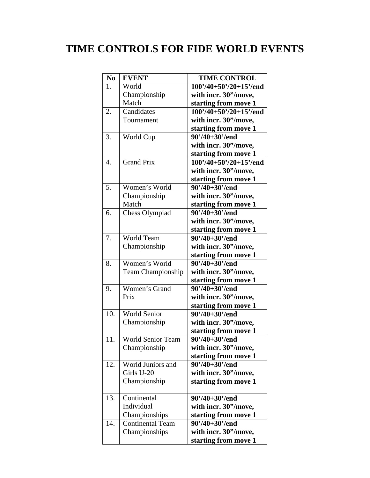## **TIME CONTROLS FOR FIDE WORLD EVENTS**

| N <sub>0</sub> | <b>EVENT</b>            | <b>TIME CONTROL</b>      |
|----------------|-------------------------|--------------------------|
| 1.             | World                   | $100'/40+50'/20+15'/end$ |
|                | Championship            | with incr. 30"/move,     |
|                | Match                   | starting from move 1     |
| 2.             | Candidates              | $100'/40+50'/20+15'/end$ |
|                | Tournament              | with incr. 30"/move,     |
|                |                         | starting from move 1     |
| 3.             | World Cup               | $90'/40+30'/end$         |
|                |                         | with incr. 30"/move,     |
|                |                         | starting from move 1     |
| 4.             | <b>Grand Prix</b>       | $100'/40+50'/20+15'/end$ |
|                |                         | with incr. 30"/move,     |
|                |                         | starting from move 1     |
| 5.             | Women's World           | $90'/40+30'/end$         |
|                | Championship            | with incr. 30"/move,     |
|                | Match                   | starting from move 1     |
| 6.             | <b>Chess Olympiad</b>   | $90'/40+30'/end$         |
|                |                         | with incr. 30"/move,     |
|                |                         | starting from move 1     |
| 7.             | World Team              | $90'/40+30'/end$         |
|                | Championship            | with incr. 30"/move,     |
|                |                         | starting from move 1     |
| 8.             | Women's World           | $90'/40+30'/end$         |
|                | Team Championship       | with incr. 30"/move,     |
|                |                         | starting from move 1     |
| 9.             | Women's Grand           | $90'/40+30'/end$         |
|                | Prix                    | with incr. 30"/move,     |
|                |                         | starting from move 1     |
| 10.            | World Senior            | $90'/40+30'/end$         |
|                | Championship            | with incr. 30"/move,     |
|                |                         | starting from move 1     |
| 11.            | World Senior Team       | 90'/40+30'/end           |
|                | Championship            | with incr. 30"/move,     |
|                |                         | starting from move 1     |
| 12.            | World Juniors and       | $90'/40+30'/end$         |
|                | Girls U-20              | with incr. 30"/move,     |
|                | Championship            | starting from move 1     |
|                |                         |                          |
| 13.            | Continental             | $90'/40+30'/end$         |
|                | Individual              | with incr. 30"/move,     |
|                | Championships           | starting from move 1     |
| 14.            | <b>Continental Team</b> | $90'/40+30'/end$         |
|                | Championships           | with incr. 30"/move,     |
|                |                         | starting from move 1     |